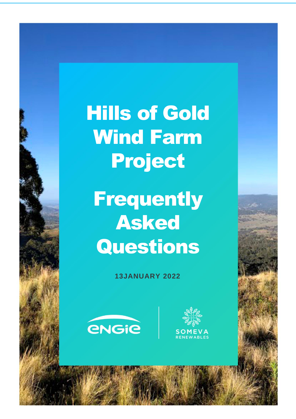Hills of Gold Wind Farm Project

**Frequently** Asked Questions

**13JANUARY 2022**



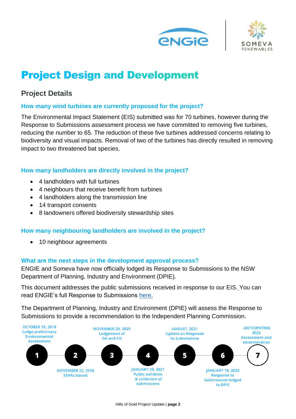



# **Project Design and Development**

# **Project Details**

### **How many wind turbines are currently proposed for the project?**

The Environmental Impact Statement (EIS) submitted was for 70 turbines, however during the Response to Submissions assessment process we have committed to removing five turbines, reducing the number to 65. The reduction of these five turbines addressed concerns relating to biodiversity and visual impacts. Removal of two of the turbines has directly resulted in removing impact to two threatened bat species.

### **How many landholders are directly involved in the project?**

- 4 landholders with full turbines
- 4 neighbours that receive benefit from turbines
- 4 landholders along the transmission line
- 14 transport consents
- 8 landowners offered biodiversity stewardship sites

## **How many neighbouring landholders are involved in the project?**

• 10 neighbour agreements

#### **What are the next steps in the development approval process?**

ENGIE and Someva have now officially lodged its Response to Submissions to the NSW Department of Planning, Industry and Environment (DPIE).

This document addresses the public submissions received in response to our EIS. You can read ENGIE's full Response to Submissions [here.](https://mpweb.planningportal.nsw.gov.au/major-projects/project/9701)

The Department of Planning, Industry and Environment (DPIE) will assess the Response to Submissions to provide a recommendation to the Independent Planning Commission.

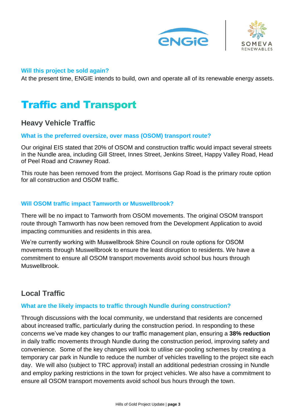



#### **Will this project be sold again?**

At the present time, ENGIE intends to build, own and operate all of its renewable energy assets.

# **Traffic and Transport**

## **Heavy Vehicle Traffic**

#### **What is the preferred oversize, over mass (OSOM) transport route?**

Our original EIS stated that 20% of OSOM and construction traffic would impact several streets in the Nundle area, including Gill Street, Innes Street, Jenkins Street, Happy Valley Road, Head of Peel Road and Crawney Road.

This route has been removed from the project. Morrisons Gap Road is the primary route option for all construction and OSOM traffic.

#### **Will OSOM traffic impact Tamworth or Muswellbrook?**

There will be no impact to Tamworth from OSOM movements. The original OSOM transport route through Tamworth has now been removed from the Development Application to avoid impacting communities and residents in this area.

We're currently working with Muswellbrook Shire Council on route options for OSOM movements through Muswellbrook to ensure the least disruption to residents. We have a commitment to ensure all OSOM transport movements avoid school bus hours through Muswellbrook.

## **Local Traffic**

#### **What are the likely impacts to traffic through Nundle during construction?**

Through discussions with the local community, we understand that residents are concerned about increased traffic, particularly during the construction period. In responding to these concerns we've made key changes to our traffic management plan, ensuring a **38% reduction**  in daily traffic movements through Nundle during the construction period, improving safety and convenience. Some of the key changes will look to utilise car-pooling schemes by creating a temporary car park in Nundle to reduce the number of vehicles travelling to the project site each day. We will also (subject to TRC approval) install an additional pedestrian crossing in Nundle and employ parking restrictions in the town for project vehicles. We also have a commitment to ensure all OSOM transport movements avoid school bus hours through the town.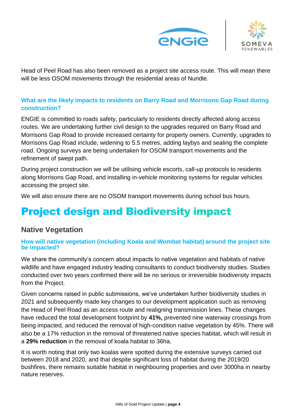



Head of Peel Road has also been removed as a project site access route. This will mean there will be less OSOM movements through the residential areas of Nundle.

## **What are the likely impacts to residents on Barry Road and Morrisons Gap Road during construction?**

ENGIE is committed to roads safety, particularly to residents directly affected along access routes. We are undertaking further civil design to the upgrades required on Barry Road and Morrisons Gap Road to provide increased certainty for property owners. Currently, upgrades to Morrisons Gap Road include, widening to 5.5 metres, adding laybys and sealing the complete road. Ongoing surveys are being undertaken for OSOM transport movements and the refinement of swept path.

During project construction we will be utilising vehicle escorts, call-up protocols to residents along Morrisons Gap Road, and installing in-vehicle monitoring systems for regular vehicles accessing the project site.

We will also ensure there are no OSOM transport movements during school bus hours.

# **Project design and Biodiversity impact**

## **Native Vegetation**

#### **How will native vegetation (including Koala and Wombat habitat) around the project site be impacted?**

We share the community's concern about impacts to native vegetation and habitats of native wildlife and have engaged industry leading consultants to conduct biodiversity studies. Studies conducted over two years confirmed there will be no serious or irreversible biodiversity impacts from the Project.

Given concerns raised in public submissions, we've undertaken further biodiversity studies in 2021 and subsequently made key changes to our development application such as removing the Head of Peel Road as an access route and realigning transmission lines. These changes have reduced the total development footprint by **41%,** prevented nine waterway crossings from being impacted, and reduced the removal of high-condition native vegetation by 45%. There will also be a 17% reduction in the removal of threatened native species habitat, which will result in a **29% reduction** in the removal of koala habitat to 36ha.

It is worth noting that only two koalas were spotted during the extensive surveys carried out between 2018 and 2020, and that despite significant loss of habitat during the 2019/20 bushfires, there remains suitable habitat in neighbouring properties and over 3000ha in nearby nature reserves.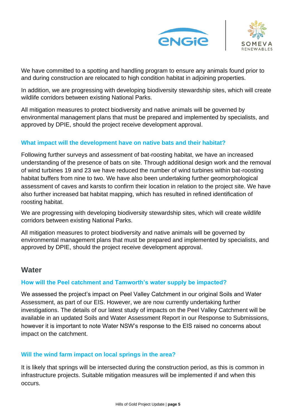



We have committed to a spotting and handling program to ensure any animals found prior to and during construction are relocated to high condition habitat in adjoining properties.

In addition, we are progressing with developing biodiversity stewardship sites, which will create wildlife corridors between existing National Parks.

All mitigation measures to protect biodiversity and native animals will be governed by environmental management plans that must be prepared and implemented by specialists, and approved by DPIE, should the project receive development approval.

### **What impact will the development have on native bats and their habitat?**

Following further surveys and assessment of bat-roosting habitat, we have an increased understanding of the presence of bats on site. Through additional design work and the removal of wind turbines 19 and 23 we have reduced the number of wind turbines within bat-roosting habitat buffers from nine to two. We have also been undertaking further geomorphological assessment of caves and karsts to confirm their location in relation to the project site. We have also further increased bat habitat mapping, which has resulted in refined identification of roosting habitat.

We are progressing with developing biodiversity stewardship sites, which will create wildlife corridors between existing National Parks.

All mitigation measures to protect biodiversity and native animals will be governed by environmental management plans that must be prepared and implemented by specialists, and approved by DPIE, should the project receive development approval.

## **Water**

#### **How will the Peel catchment and Tamworth's water supply be impacted?**

We assessed the project's impact on Peel Valley Catchment in our original Soils and Water Assessment, as part of our EIS. However, we are now currently undertaking further investigations. The details of our latest study of impacts on the Peel Valley Catchment will be available in an updated Soils and Water Assessment Report in our Response to Submissions, however it is important to note Water NSW's response to the EIS raised no concerns about impact on the catchment.

## **Will the wind farm impact on local springs in the area?**

It is likely that springs will be intersected during the construction period, as this is common in infrastructure projects. Suitable mitigation measures will be implemented if and when this occurs.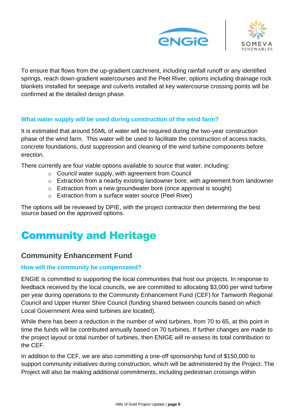



To ensure that flows from the up-gradient catchment, including rainfall runoff or any identified springs, reach down-gradient watercourses and the Peel River, options including drainage rock blankets installed for seepage and culverts installed at key watercourse crossing points will be confirmed at the detailed design phase.

### **What water supply will be used during construction of the wind farm?**

It is estimated that around 55ML of water will be required during the two-year construction phase of the wind farm. This water will be used to facilitate the construction of access tracks, concrete foundations, dust suppression and cleaning of the wind turbine components before erection.

There currently are four viable options available to source that water, including:

- o Council water supply, with agreement from Council
- o Extraction from a nearby existing landowner bore, with agreement from landowner
- o Extraction from a new groundwater bore (once approval is sought)
- o Extraction from a surface water source (Peel River)

The options will be reviewed by DPIE, with the project contractor then determining the best source based on the approved options.

# **Community and Heritage**

## **Community Enhancement Fund**

#### **How will the community be compensated?**

ENGIE is committed to supporting the local communities that host our projects. In response to feedback received by the local councils, we are committed to allocating \$3,000 per wind turbine per year during operations to the Community Enhancement Fund (CEF) for Tamworth Regional Council and Upper Hunter Shire Council (funding shared between councils based on which Local Government Area wind turbines are located).

While there has been a reduction in the number of wind turbines, from 70 to 65, at this point in time the funds will be contributed annually based on 70 turbines. If further changes are made to the project layout or total number of turbines, then ENIGE will re-assess its total contribution to the CEF.

In addition to the CEF, we are also committing a one-off sponsorship fund of \$150,000 to support community initiatives during construction, which will be administered by the Project. The Project will also be making additional commitments, including pedestrian crossings within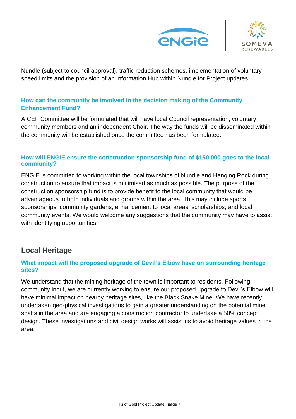



Nundle (subject to council approval), traffic reduction schemes, implementation of voluntary speed limits and the provision of an Information Hub within Nundle for Project updates.

## **How can the community be involved in the decision making of the Community Enhancement Fund?**

A CEF Committee will be formulated that will have local Council representation, voluntary community members and an independent Chair. The way the funds will be disseminated within the community will be established once the committee has been formulated.

#### **How will ENGIE ensure the construction sponsorship fund of \$150,000 goes to the local community?**

ENGIE is committed to working within the local townships of Nundle and Hanging Rock during construction to ensure that impact is minimised as much as possible. The purpose of the construction sponsorship fund is to provide benefit to the local community that would be advantageous to both individuals and groups within the area. This may include sports sponsorships, community gardens, enhancement to local areas, scholarships, and local community events. We would welcome any suggestions that the community may have to assist with identifying opportunities.

## **Local Heritage**

### **What impact will the proposed upgrade of Devil's Elbow have on surrounding heritage sites?**

We understand that the mining heritage of the town is important to residents. Following community input, we are currently working to ensure our proposed upgrade to Devil's Elbow will have minimal impact on nearby heritage sites, like the Black Snake Mine. We have recently undertaken geo-physical investigations to gain a greater understanding on the potential mine shafts in the area and are engaging a construction contractor to undertake a 50% concept design. These investigations and civil design works will assist us to avoid heritage values in the area.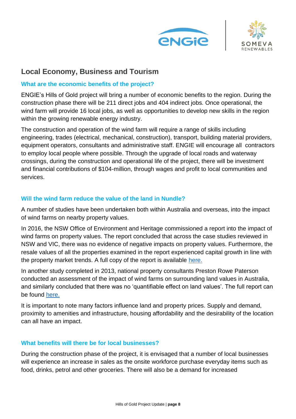



## **Local Economy, Business and Tourism**

#### **What are the economic benefits of the project?**

ENGIE's Hills of Gold project will bring a number of economic benefits to the region. During the construction phase there will be 211 direct jobs and 404 indirect jobs. Once operational, the wind farm will provide 16 local jobs, as well as opportunities to develop new skills in the region within the growing renewable energy industry.

The construction and operation of the wind farm will require a range of skills including engineering, trades (electrical, mechanical, construction), transport, building material providers, equipment operators, consultants and administrative staff. ENGIE will encourage all contractors to employ local people where possible. Through the upgrade of local roads and waterway crossings, during the construction and operational life of the project, there will be investment and financial contributions of \$104-million, through wages and profit to local communities and services.

#### **Will the wind farm reduce the value of the land in Nundle?**

A number of studies have been undertaken both within Australia and overseas, into the impact of wind farms on nearby property values.

In 2016, the NSW Office of Environment and Heritage commissioned a report into the impact of wind farms on property values. The report concluded that across the case studies reviewed in NSW and VIC, there was no evidence of negative impacts on property values. Furthermore, the resale values of all the properties examined in the report experienced capital growth in line with the property market trends. A full copy of the report is available [here.](https://www.environment.nsw.gov.au/resources/communities/wind-farm-value-impacts-report.pdf)

In another study completed in 2013, national property consultants Preston Rowe Paterson conducted an assessment of the impact of wind farms on surrounding land values in Australia, and similarly concluded that there was no 'quantifiable effect on land values'. The full report can be found [here.](https://static1.squarespace.com/static/58bdfe87d2b857325390ba1c/t/5e4b5158190cbb27f14b73dd/1581994333468/Assessment-of-the-impact-of-wind-farms-on-surrounding-land-values-in-australia.pdf)

It is important to note many factors influence land and property prices. Supply and demand, proximity to amenities and infrastructure, housing affordability and the desirability of the location can all have an impact.

#### **What benefits will there be for local businesses?**

During the construction phase of the project, it is envisaged that a number of local businesses will experience an increase in sales as the onsite workforce purchase everyday items such as food, drinks, petrol and other groceries. There will also be a demand for increased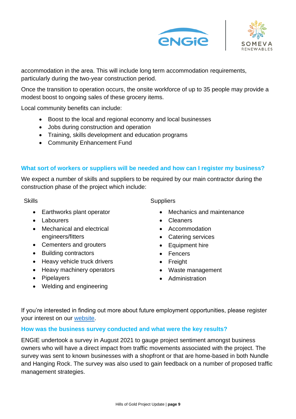



accommodation in the area. This will include long term accommodation requirements, particularly during the two-year construction period.

Once the transition to operation occurs, the onsite workforce of up to 35 people may provide a modest boost to ongoing sales of these grocery items.

Local community benefits can include:

- Boost to the local and regional economy and local businesses
- Jobs during construction and operation
- Training, skills development and education programs
- Community Enhancement Fund

#### **What sort of workers or suppliers will be needed and how can I register my business?**

We expect a number of skills and suppliers to be required by our main contractor during the construction phase of the project which include:

#### **Skills**

- Earthworks plant operator
- Labourers
- Mechanical and electrical engineers/fitters
- Cementers and grouters
- Building contractors
- Heavy vehicle truck drivers
- Heavy machinery operators
- Pipelayers
- Welding and engineering

**Suppliers** 

- Mechanics and maintenance
- Cleaners
- Accommodation
- Catering services
- Equipment hire
- Fencers
- Freight
- Waste management
- Administration

If you're interested in finding out more about future employment opportunities, please register your interest on our [website.](https://www.hillsofgoldenergy.com/)

#### **How was the business survey conducted and what were the key results?**

ENGIE undertook a survey in August 2021 to gauge project sentiment amongst business owners who will have a direct impact from traffic movements associated with the project. The survey was sent to known businesses with a shopfront or that are home-based in both Nundle and Hanging Rock. The survey was also used to gain feedback on a number of proposed traffic management strategies.